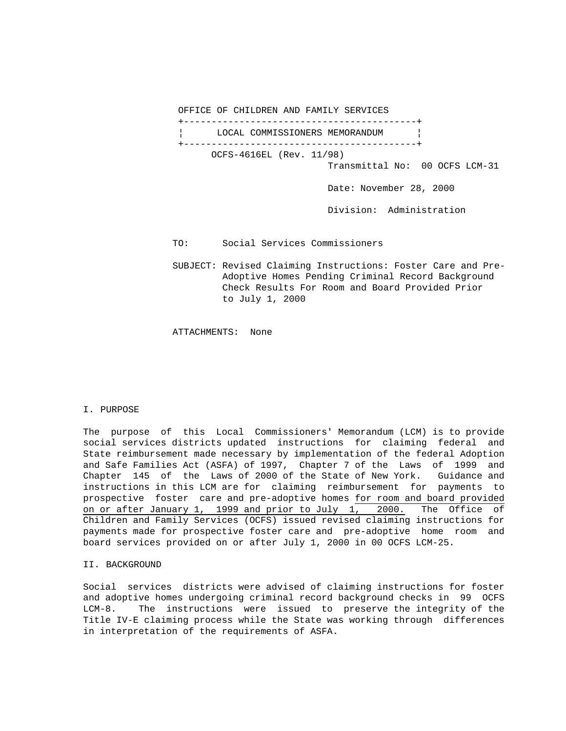OFFICE OF CHILDREN AND FAMILY SERVICES

 +------------------------------------------+ LOCAL COMMISSIONERS MEMORANDUM +------------------------------------------+ OCFS-4616EL (Rev. 11/98) Transmittal No: 00 OCFS LCM-31 Date: November 28, 2000

Division: Administration

- TO: Social Services Commissioners
- SUBJECT: Revised Claiming Instructions: Foster Care and Pre- Adoptive Homes Pending Criminal Record Background Check Results For Room and Board Provided Prior to July 1, 2000

ATTACHMENTS: None

## I. PURPOSE

The purpose of this Local Commissioners' Memorandum (LCM) is to provide social services districts updated instructions for claiming federal and State reimbursement made necessary by implementation of the federal Adoption and Safe Families Act (ASFA) of 1997, Chapter 7 of the Laws of 1999 and Chapter 145 of the Laws of 2000 of the State of New York. Guidance and instructions in this LCM are for claiming reimbursement for payments to prospective foster care and pre-adoptive homes for room and board provided on or after January 1, 1999 and prior to July 1, 2000. The Office of Children and Family Services (OCFS) issued revised claiming instructions for payments made for prospective foster care and pre-adoptive home room and board services provided on or after July 1, 2000 in 00 OCFS LCM-25.

# II. BACKGROUND

Social services districts were advised of claiming instructions for foster and adoptive homes undergoing criminal record background checks in 99 OCFS LCM-8. The instructions were issued to preserve the integrity of the Title IV-E claiming process while the State was working through differences in interpretation of the requirements of ASFA.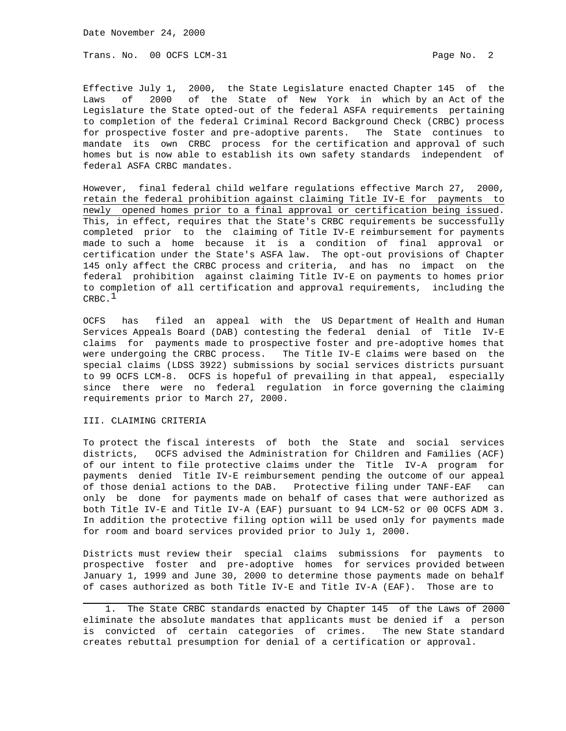Date November 24, 2000

Trans. No. 00 OCFS LCM-31 **Page No. 2** Page No. 2

Effective July 1, 2000, the State Legislature enacted Chapter 145 of the Laws of 2000 of the State of New York in which by an Act of the Legislature the State opted-out of the federal ASFA requirements pertaining to completion of the federal Criminal Record Background Check (CRBC) process for prospective foster and pre-adoptive parents. The State continues to mandate its own CRBC process for the certification and approval of such homes but is now able to establish its own safety standards independent of federal ASFA CRBC mandates.

However, final federal child welfare regulations effective March 27, 2000, retain the federal prohibition against claiming Title IV-E for payments to newly opened homes prior to a final approval or certification being issued. This, in effect, requires that the State's CRBC requirements be successfully completed prior to the claiming of Title IV-E reimbursement for payments made to such a home because it is a condition of final approval or certification under the State's ASFA law. The opt-out provisions of Chapter 145 only affect the CRBC process and criteria, and has no impact on the federal prohibition against claiming Title IV-E on payments to homes prior to completion of all certification and approval requirements, including the  $CRBC.$ <sup>1</sup>

OCFS has filed an appeal with the US Department of Health and Human Services Appeals Board (DAB) contesting the federal denial of Title IV-E claims for payments made to prospective foster and pre-adoptive homes that were undergoing the CRBC process. The Title IV-E claims were based on the special claims (LDSS 3922) submissions by social services districts pursuant to 99 OCFS LCM-8. OCFS is hopeful of prevailing in that appeal, especially since there were no federal regulation in force governing the claiming requirements prior to March 27, 2000.

## III. CLAIMING CRITERIA

i<br>S

To protect the fiscal interests of both the State and social services districts, OCFS advised the Administration for Children and Families (ACF) of our intent to file protective claims under the Title IV-A program for payments denied Title IV-E reimbursement pending the outcome of our appeal of those denial actions to the DAB. Protective filing under TANF-EAF can only be done for payments made on behalf of cases that were authorized as both Title IV-E and Title IV-A (EAF) pursuant to 94 LCM-52 or 00 OCFS ADM 3. In addition the protective filing option will be used only for payments made for room and board services provided prior to July 1, 2000.

Districts must review their special claims submissions for payments to prospective foster and pre-adoptive homes for services provided between January 1, 1999 and June 30, 2000 to determine those payments made on behalf of cases authorized as both Title IV-E and Title IV-A (EAF). Those are to

 1. The State CRBC standards enacted by Chapter 145 of the Laws of 2000 eliminate the absolute mandates that applicants must be denied if a person is convicted of certain categories of crimes. The new State standard creates rebuttal presumption for denial of a certification or approval.